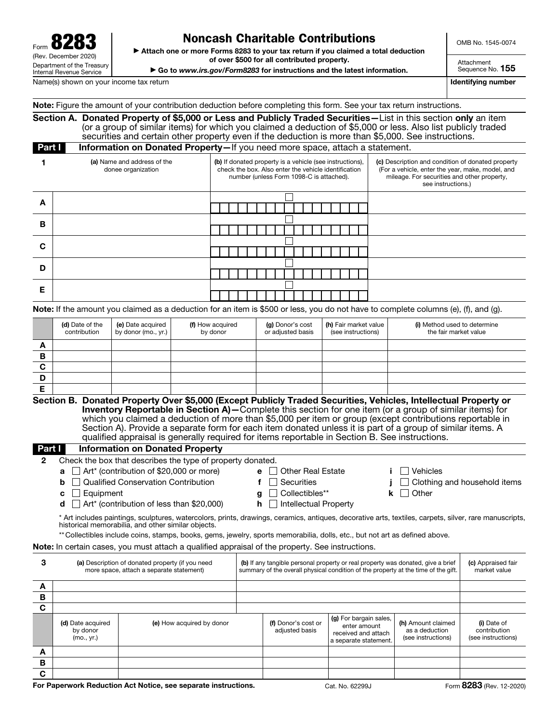| 828<br>Form $\mathbf{O}$                                      |
|---------------------------------------------------------------|
| (Rev. December 2020)                                          |
| Department of the Treasury<br><b>Internal Revenue Service</b> |

## Noncash Charitable Contributions

OMB No. 1545-0074

▶ Attach one or more Forms 8283 to your tax return if you claimed a total deduction of over \$500 for all contributed property.

▶ Go to *www.irs.gov/Form8283* for instructions and the latest information.

Sequence No. 155

Attachment

Name(s) shown on your income tax return in the state of the state of the state of the state of the state of the state of the state of the state of the state of the state of the state of the state of the state of the state

|  |  |  | Note: Figure the amount of your contribution deduction before completing this form. See your tax return instructions. |
|--|--|--|-----------------------------------------------------------------------------------------------------------------------|
|--|--|--|-----------------------------------------------------------------------------------------------------------------------|

Section A. Donated Property of \$5,000 or Less and Publicly Traded Securities—List in this section only an item (or a group of similar items) for which you claimed a deduction of \$5,000 or less. Also list publicly traded securities and certain other property even if the deduction is more than \$5,000. See instructions. **Part I Information on Donated Property**—If you need more space, attach a statement.

|   | (a) Name and address of the<br>donee organization | (b) If donated property is a vehicle (see instructions),<br>check the box. Also enter the vehicle identification<br>number (unless Form 1098-C is attached). | (c) Description and condition of donated property<br>(For a vehicle, enter the year, make, model, and<br>mileage. For securities and other property,<br>see instructions.) |
|---|---------------------------------------------------|--------------------------------------------------------------------------------------------------------------------------------------------------------------|----------------------------------------------------------------------------------------------------------------------------------------------------------------------------|
| A |                                                   |                                                                                                                                                              |                                                                                                                                                                            |
| в |                                                   |                                                                                                                                                              |                                                                                                                                                                            |
| C |                                                   |                                                                                                                                                              |                                                                                                                                                                            |
| D |                                                   |                                                                                                                                                              |                                                                                                                                                                            |
| Е |                                                   |                                                                                                                                                              |                                                                                                                                                                            |

Note: If the amount you claimed as a deduction for an item is \$500 or less, you do not have to complete columns (e), (f), and (g).

|   | (d) Date of the<br>contribution | (e) Date acquired<br>by donor (mo., yr.) $\vert$ | (f) How acquired<br>by donor | (g) Donor's cost<br>or adjusted basis | (h) Fair market value<br>(see instructions) | (i) Method used to determine<br>the fair market value |
|---|---------------------------------|--------------------------------------------------|------------------------------|---------------------------------------|---------------------------------------------|-------------------------------------------------------|
| A |                                 |                                                  |                              |                                       |                                             |                                                       |
| в |                                 |                                                  |                              |                                       |                                             |                                                       |
| С |                                 |                                                  |                              |                                       |                                             |                                                       |
| D |                                 |                                                  |                              |                                       |                                             |                                                       |
| ┕ |                                 |                                                  |                              |                                       |                                             |                                                       |

Section B. Donated Property Over \$5,000 (Except Publicly Traded Securities, Vehicles, Intellectual Property or Inventory Reportable in Section A)—Complete this section for one item (or a group of similar items) for which you claimed a deduction of more than \$5,000 per item or group (except contributions reportable in Section A). Provide a separate form for each item donated unless it is part of a group of similar items. A qualified appraisal is generally required for items reportable in Section B. See instructions.

## Part I Information on Donated Property

| rarum | <u>mormation</u> on Donated Property                                                                                                                                                                         |                                                                                                                                                                        |                                     |  |  |  |
|-------|--------------------------------------------------------------------------------------------------------------------------------------------------------------------------------------------------------------|------------------------------------------------------------------------------------------------------------------------------------------------------------------------|-------------------------------------|--|--|--|
| 2     | Check the box that describes the type of property donated.                                                                                                                                                   |                                                                                                                                                                        |                                     |  |  |  |
|       | Art* (contribution of \$20,000 or more)<br>$a \perp$                                                                                                                                                         | $e$   Other Real Estate                                                                                                                                                | <b>Vehicles</b>                     |  |  |  |
|       | <b>Qualified Conservation Contribution</b><br>b                                                                                                                                                              | Securities                                                                                                                                                             | $\Box$ Clothing and household items |  |  |  |
|       | Equipment<br>$c \mid \mid$                                                                                                                                                                                   | Collectibles**                                                                                                                                                         | Other                               |  |  |  |
|       | $\Box$ Art* (contribution of less than \$20,000)<br>d                                                                                                                                                        | $h$   Intellectual Property                                                                                                                                            |                                     |  |  |  |
|       | * Art includes paintings, sculptures, watercolors, prints, drawings, ceramics, antiques, decorative arts, textiles, carpets, silver, rare manuscripts,<br>historical memorabilia, and other similar objects. |                                                                                                                                                                        |                                     |  |  |  |
|       | ** Collectibles include coins, stamps, books, gems, jewelry, sports memorabilia, dolls, etc., but not art as defined above.                                                                                  |                                                                                                                                                                        |                                     |  |  |  |
|       | <b>Note:</b> In certain cases, you must attach a qualified appraisal of the property. See instructions.                                                                                                      |                                                                                                                                                                        |                                     |  |  |  |
| з     | (a) Description of donated property (if you need<br>more space, attach a separate statement)                                                                                                                 | (b) If any tangible personal property or real property was donated, give a brief<br>summary of the overall physical condition of the property at the time of the gift. | (c) Appraised fair<br>market value  |  |  |  |

| more space, attach a separate statement) |                                             | summary of the overall physical condition of the property at the time of the gift. |                                       |                                                                                        | market value                                               |                                                   |
|------------------------------------------|---------------------------------------------|------------------------------------------------------------------------------------|---------------------------------------|----------------------------------------------------------------------------------------|------------------------------------------------------------|---------------------------------------------------|
| A                                        |                                             |                                                                                    |                                       |                                                                                        |                                                            |                                                   |
| в                                        |                                             |                                                                                    |                                       |                                                                                        |                                                            |                                                   |
| C                                        |                                             |                                                                                    |                                       |                                                                                        |                                                            |                                                   |
|                                          | (d) Date acquired<br>by donor<br>(mo., yr.) | (e) How acquired by donor                                                          | (f) Donor's cost or<br>adjusted basis | (g) For bargain sales,<br>enter amount<br>received and attach<br>a separate statement. | (h) Amount claimed<br>as a deduction<br>(see instructions) | (i) Date of<br>contribution<br>(see instructions) |
| A                                        |                                             |                                                                                    |                                       |                                                                                        |                                                            |                                                   |
| В                                        |                                             |                                                                                    |                                       |                                                                                        |                                                            |                                                   |
| С                                        |                                             |                                                                                    |                                       |                                                                                        |                                                            |                                                   |